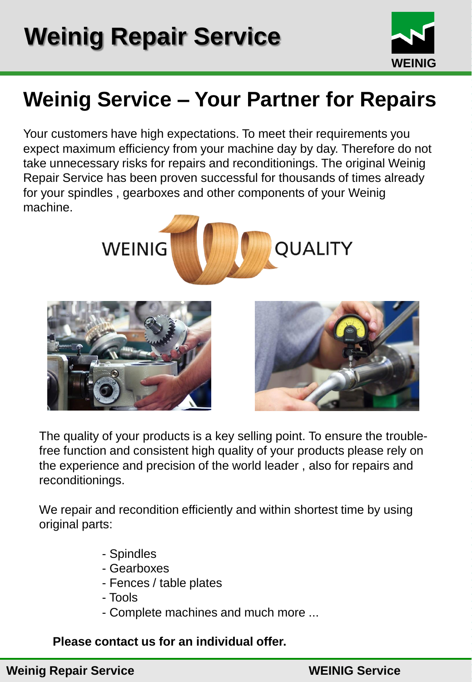

## **Weinig Service – Your Partner for Repairs**

Your customers have high expectations. To meet their requirements you expect maximum efficiency from your machine day by day. Therefore do not take unnecessary risks for repairs and reconditionings. The original Weinig Repair Service has been proven successful for thousands of times already for your spindles , gearboxes and other components of your Weinig machine.







The quality of your products is a key selling point. To ensure the troublefree function and consistent high quality of your products please rely on the experience and precision of the world leader , also for repairs and reconditionings.

We repair and recondition efficiently and within shortest time by using original parts:

- Spindles
- Gearboxes
- Fences / table plates
- Tools
- Complete machines and much more ...

## **Please contact us for an individual offer.**

## **Weinig Repair Service WEINIG Service**